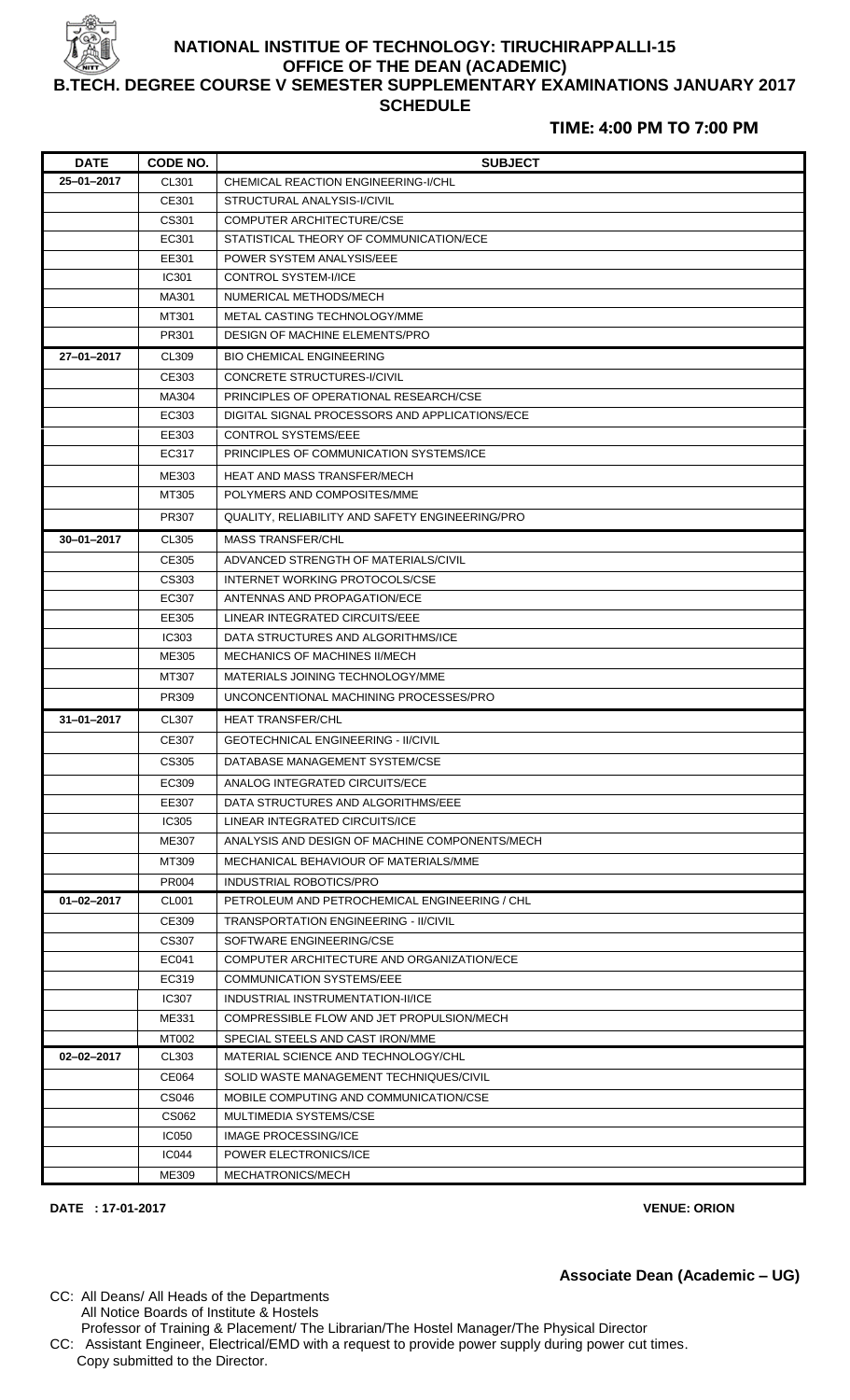

## **NATIONAL INSTITUE OF TECHNOLOGY: TIRUCHIRAPPALLI-15 OFFICE OF THE DEAN (ACADEMIC) B.TECH. DEGREE COURSE V SEMESTER SUPPLEMENTARY EXAMINATIONS JANUARY 2017 SCHEDULE**

## **TIME: 4:00 PM TO 7:00 PM**

| <b>DATE</b>      | CODE NO.              | <b>SUBJECT</b>                                       |  |
|------------------|-----------------------|------------------------------------------------------|--|
| 25-01-2017       | CL301                 | CHEMICAL REACTION ENGINEERING-I/CHL                  |  |
|                  | CE301                 | STRUCTURAL ANALYSIS-I/CIVIL                          |  |
|                  | CS301                 | <b>COMPUTER ARCHITECTURE/CSE</b>                     |  |
|                  | EC301                 | STATISTICAL THEORY OF COMMUNICATION/ECE              |  |
|                  | EE301                 | POWER SYSTEM ANALYSIS/EEE                            |  |
|                  | IC301                 | <b>CONTROL SYSTEM-I/ICE</b>                          |  |
|                  | MA301                 | NUMERICAL METHODS/MECH                               |  |
|                  | MT301                 | METAL CASTING TECHNOLOGY/MME                         |  |
|                  | PR301                 | DESIGN OF MACHINE ELEMENTS/PRO                       |  |
| 27-01-2017       | CL309                 | <b>BIO CHEMICAL ENGINEERING</b>                      |  |
|                  | CE303                 | <b>CONCRETE STRUCTURES-I/CIVIL</b>                   |  |
|                  | MA304                 | PRINCIPLES OF OPERATIONAL RESEARCH/CSE               |  |
|                  | EC303                 | DIGITAL SIGNAL PROCESSORS AND APPLICATIONS/ECE       |  |
|                  | EE303                 | <b>CONTROL SYSTEMS/EEE</b>                           |  |
|                  | EC317                 | PRINCIPLES OF COMMUNICATION SYSTEMS/ICE              |  |
|                  | ME303                 | HEAT AND MASS TRANSFER/MECH                          |  |
|                  | MT305                 | POLYMERS AND COMPOSITES/MME                          |  |
|                  | PR307                 | QUALITY, RELIABILITY AND SAFETY ENGINEERING/PRO      |  |
| $30 - 01 - 2017$ | CL305                 | <b>MASS TRANSFER/CHL</b>                             |  |
|                  | CE305                 | ADVANCED STRENGTH OF MATERIALS/CIVIL                 |  |
|                  | CS303                 | INTERNET WORKING PROTOCOLS/CSE                       |  |
|                  | EC307                 | ANTENNAS AND PROPAGATION/ECE                         |  |
|                  | EE305                 | LINEAR INTEGRATED CIRCUITS/EEE                       |  |
|                  | IC303                 | DATA STRUCTURES AND ALGORITHMS/ICE                   |  |
|                  | ME305                 | MECHANICS OF MACHINES II/MECH                        |  |
|                  | MT307                 | MATERIALS JOINING TECHNOLOGY/MME                     |  |
|                  | PR309                 | UNCONCENTIONAL MACHINING PROCESSES/PRO               |  |
| $31 - 01 - 2017$ | CL307                 | <b>HEAT TRANSFER/CHL</b>                             |  |
|                  | CE307                 | <b>GEOTECHNICAL ENGINEERING - II/CIVIL</b>           |  |
|                  | CS305                 | DATABASE MANAGEMENT SYSTEM/CSE                       |  |
|                  | EC309                 | ANALOG INTEGRATED CIRCUITS/ECE                       |  |
|                  | EE307                 | DATA STRUCTURES AND ALGORITHMS/EEE                   |  |
|                  | IC305                 | LINEAR INTEGRATED CIRCUITS/ICE                       |  |
|                  | ME307                 | ANALYSIS AND DESIGN OF MACHINE COMPONENTS/MECH       |  |
|                  | MT309                 | MECHANICAL BEHAVIOUR OF MATERIALS/MME                |  |
|                  | PR004                 | <b>INDUSTRIAL ROBOTICS/PRO</b>                       |  |
| $01 - 02 - 2017$ | CL001                 | PETROLEUM AND PETROCHEMICAL ENGINEERING / CHL        |  |
|                  | CE309                 | <b>TRANSPORTATION ENGINEERING - II/CIVIL</b>         |  |
|                  | CS307                 | SOFTWARE ENGINEERING/CSE                             |  |
|                  | EC041                 | COMPUTER ARCHITECTURE AND ORGANIZATION/ECE           |  |
|                  | EC319                 | <b>COMMUNICATION SYSTEMS/EEE</b>                     |  |
|                  | <b>IC307</b>          | INDUSTRIAL INSTRUMENTATION-II/ICE                    |  |
|                  | ME331                 | COMPRESSIBLE FLOW AND JET PROPULSION/MECH            |  |
|                  | MT002                 | SPECIAL STEELS AND CAST IRON/MME                     |  |
| 02-02-2017       | CL303                 | MATERIAL SCIENCE AND TECHNOLOGY/CHL                  |  |
|                  | CE064                 | SOLID WASTE MANAGEMENT TECHNIQUES/CIVIL              |  |
|                  | CS046                 | MOBILE COMPUTING AND COMMUNICATION/CSE               |  |
|                  | CS062                 | MULTIMEDIA SYSTEMS/CSE                               |  |
|                  | <b>IC050</b><br>IC044 | <b>IMAGE PROCESSING/ICE</b><br>POWER ELECTRONICS/ICE |  |
|                  |                       |                                                      |  |
|                  | ME309                 | MECHATRONICS/MECH                                    |  |

**DATE : 17-01-2017 VENUE: ORION**

Copy submitted to the Director.

**Associate Dean (Academic – UG)**

CC: All Deans/ All Heads of the Departments All Notice Boards of Institute & Hostels Professor of Training & Placement/ The Librarian/The Hostel Manager/The Physical Director CC: Assistant Engineer, Electrical/EMD with a request to provide power supply during power cut times.